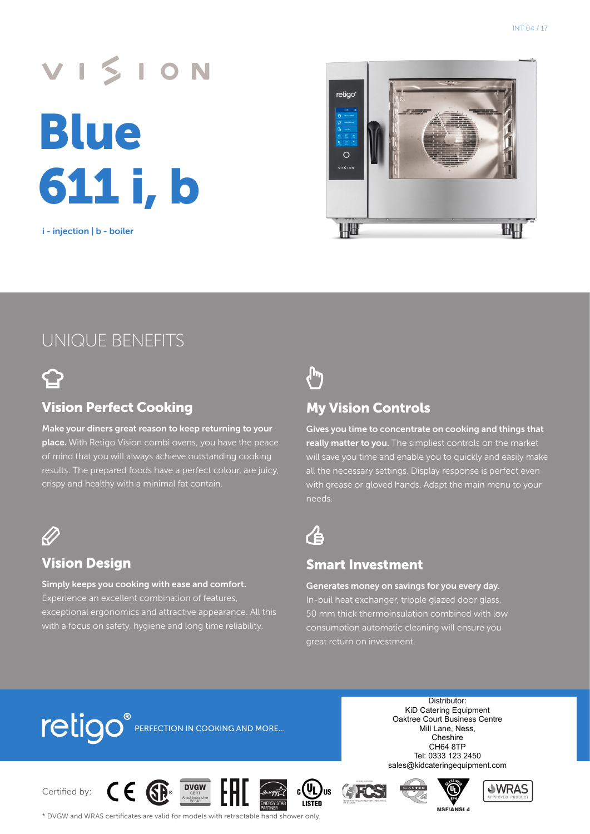# VISION Blue 611 i, b

i - injection | b - boiler



### UNIQUE BENEFITS



#### Vision Perfect Cooking

Make your diners great reason to keep returning to your place. With Retigo Vision combi ovens, you have the peace of mind that you will always achieve outstanding cooking results. The prepared foods have a perfect colour, are juicy, crispy and healthy with a minimal fat contain.



#### Vision Design

Simply keeps you cooking with ease and comfort. Experience an excellent combination of features, exceptional ergonomics and attractive appearance. All this with a focus on safety, hygiene and long time reliability.



#### My Vision Controls

Gives you time to concentrate on cooking and things that really matter to you. The simpliest controls on the market will save you time and enable you to quickly and easily make all the necessary settings. Display response is perfect even with grease or gloved hands. Adapt the main menu to your needs.



#### Smart Investment

Generates money on savings for you every day. In-buil heat exchanger, tripple glazed door glass, 50 mm thick thermoinsulation combined with low consumption automatic cleaning will ensure you great return on investment.

# **TELIOO** PERFECTION IN COOKING AND MORE...

Distributor: KiD Catering Equipment Oaktree Court Business Centre Mill Lane, Ness, Cheshire CH64 8TP Tel: 0333 123 2450 sales@kidcateringequipment.com

Certified by:













\* DVGW and WRAS certificates are valid for models with retractable hand shower only.

**DVGW**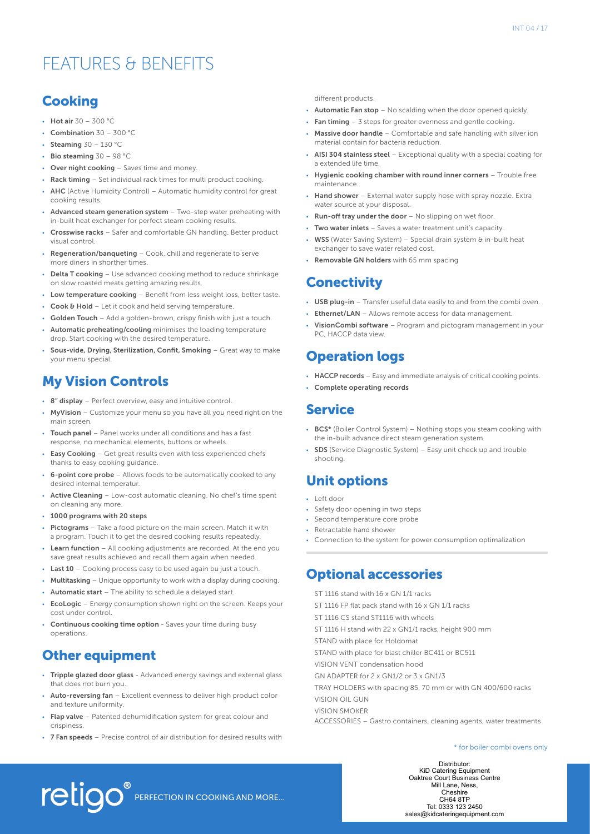# FEATURES & BENEFITS

#### **Cooking**

- Hot air 30 300 °C
- Combination 30 300 °C
- Steaming 30 130 °C
- Bio steaming 30 98 °C
- Over night cooking Saves time and money.
- Rack timing Set individual rack times for multi product cooking.
- AHC (Active Humidity Control) Automatic humidity control for great cooking results.
- Advanced steam generation system Two-step water preheating with in-built heat exchanger for perfect steam cooking results.
- Crosswise racks Safer and comfortable GN handling. Better product visual control.
- Regeneration/banqueting Cook, chill and regenerate to serve more diners in shorther times.
- **Delta T cooking** Use advanced cooking method to reduce shrinkage on slow roasted meats getting amazing results.
- Low temperature cooking Benefit from less weight loss, better taste.
- Cook & Hold Let it cook and held serving temperature.
- Golden Touch Add a golden-brown, crispy finish with just a touch.
- Automatic preheating/cooling minimises the loading temperature drop. Start cooking with the desired temperature.
- Sous-vide, Drying, Sterilization, Confit, Smoking Great way to make your menu special.

#### My Vision Controls

- 8" display Perfect overview, easy and intuitive control.
- MyVision Customize your menu so you have all you need right on the main screen.
- Touch panel Panel works under all conditions and has a fast response, no mechanical elements, buttons or wheels.
- Easy Cooking Get great results even with less experienced chefs thanks to easy cooking guidance.
- 6-point core probe Allows foods to be automatically cooked to any desired internal temperatur.
- Active Cleaning Low-cost automatic cleaning. No chef's time spent on cleaning any more.
- 1000 programs with 20 steps
- Pictograms Take a food picture on the main screen. Match it with a program. Touch it to get the desired cooking results repeatedly.
- Learn function All cooking adjustments are recorded. At the end you save great results achieved and recall them again when needed.
- Last 10 Cooking process easy to be used again bu just a touch.
- Multitasking Unique opportunity to work with a display during cooking.
- Automatic start The ability to schedule a delayed start.
- EcoLogic Energy consumption shown right on the screen. Keeps your cost under control.
- Continuous cooking time option Saves your time during busy operations.

#### Other equipment

- Tripple glazed door glass Advanced energy savings and external glass that does not burn you.
- Auto-reversing fan Excellent evenness to deliver high product color and texture uniformity.
- Flap valve Patented dehumidification system for great colour and crispiness.
- 7 Fan speeds Precise control of air distribution for desired results with

different products.

- Automatic Fan stop No scalding when the door opened quickly.
- Fan timing  $-3$  steps for greater evenness and gentle cooking.
- Massive door handle Comfortable and safe handling with silver ion material contain for bacteria reduction.
- AISI 304 stainless steel Exceptional quality with a special coating for a extended life time.
- Hygienic cooking chamber with round inner corners Trouble free maintenance.
- Hand shower External water supply hose with spray nozzle. Extra water source at your disposal.
- **Run-off tray under the door No slipping on wet floor**
- Two water inlets Saves a water treatment unit's capacity.
- **WSS** (Water Saving System) Special drain system  $\theta$  in-built heat exchanger to save water related cost.
- Removable GN holders with 65 mm spacing

#### **Conectivity**

- USB plug-in Transfer useful data easily to and from the combi oven.
- Ethernet/LAN Allows remote access for data management.
- VisionCombi software Program and pictogram management in your PC, HACCP data view.

#### Operation logs

- HACCP records Easy and immediate analysis of critical cooking points.
- Complete operating records

#### Service

- BCS\* (Boiler Control System) Nothing stops you steam cooking with the in-built advance direct steam generation system.
- SDS (Service Diagnostic System) Easy unit check up and trouble shooting.

#### Unit options

- Left door
- Safety door opening in two steps
- Second temperature core probe
- Retractable hand shower
- Connection to the system for power consumption optimalization

#### Optional accessories

- ST 1116 stand with 16 x GN 1/1 racks
- ST 1116 FP flat pack stand with 16 x GN 1/1 racks
- ST 1116 CS stand ST1116 with wheels
- ST 1116 H stand with 22 x GN1/1 racks, height 900 mm
- STAND with place for Holdomat
- STAND with place for blast chiller BC411 or BC511
- VISION VENT condensation hood
- GN ADAPTER for 2 x GN1/2 or 3 x GN1/3
- TRAY HOLDERS with spacing 85, 70 mm or with GN 400/600 racks
- VISION OIL GUN
- VISION SMOKER
- ACCESSORIES Gastro containers, cleaning agents, water treatments

#### \* for boiler combi ovens only

Tel: 0333 123 2450 Distributor: KiD Catering Equipment Oaktree Court Business Centre Mill Lane, Ness, Cheshire CH64 8TP sales@kidcateringequipment.com

**TELIOO** PERFECTION IN COOKING AND MORE...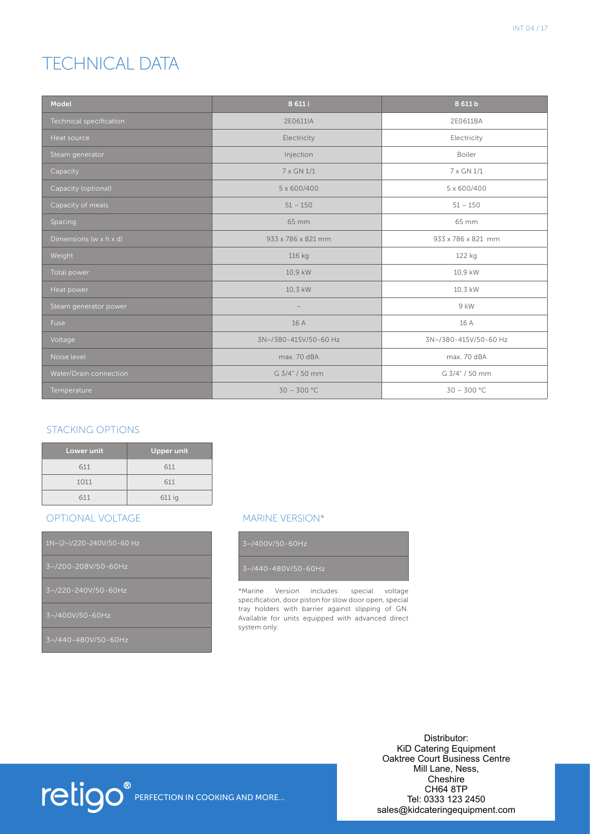# TECHNICAL DATA

| Model                   | <b>B</b> 611 i        | <b>B</b> 611 b        |
|-------------------------|-----------------------|-----------------------|
| Technical specification | 2E0611IA              | 2E0611BA              |
| Heat source             | Electricity           | Electricity           |
| Steam generator         | Injection             | Boiler                |
| Capacity                | 7 x GN 1/1            | 7 x GN 1/1            |
| Capacity (optional)     | 5 x 600/400           | 5 x 600/400           |
| Capacity of meals       | $51 - 150$            | $51 - 150$            |
| Spacing                 | 65 mm                 | 65 mm                 |
| Dimensions (w x h x d)  | 933 x 786 x 821 mm    | 933 x 786 x 821 mm    |
| Weight                  | 116 kg                | 122 kg                |
| Total power             | 10,9 kW               | 10,9 kW               |
| Heat power              | 10,3 kW               | 10,3 kW               |
| Steam generator power   |                       | 9 kW                  |
| Fuse                    | 16 A                  | 16 A                  |
| Voltage                 | 3N~/380-415V/50-60 Hz | 3N~/380-415V/50-60 Hz |
| Noise level             | max. 70 dBA           | max. 70 dBA           |
| Water/Drain connection  | G 3/4" / 50 mm        | G 3/4" / 50 mm        |
| Temperature             | $30 - 300$ °C         | $30 - 300 °C$         |

#### STACKING OPTIONS

| Lower unit | <b>Upper unit</b> |
|------------|-------------------|
| 611        | 611               |
| 1011       | 611               |
| 611        | 611 ig            |

#### OPTIONAL VOLTAGE

3~/400V/50-60Hz

#### MARINE VERSION\*

\*Marine Version includes: special voltage specification, door piston for slow door open, special tray holders with barrier against slipping of GN. Available for units equipped with advanced direct system only.



Distributor: KiD Catering Equipment Oaktree Court Business Centre Mill Lane, Ness, **Cheshire** CH64 8TP Tel: 0333 123 2450 sales@kidcateringequipment.com